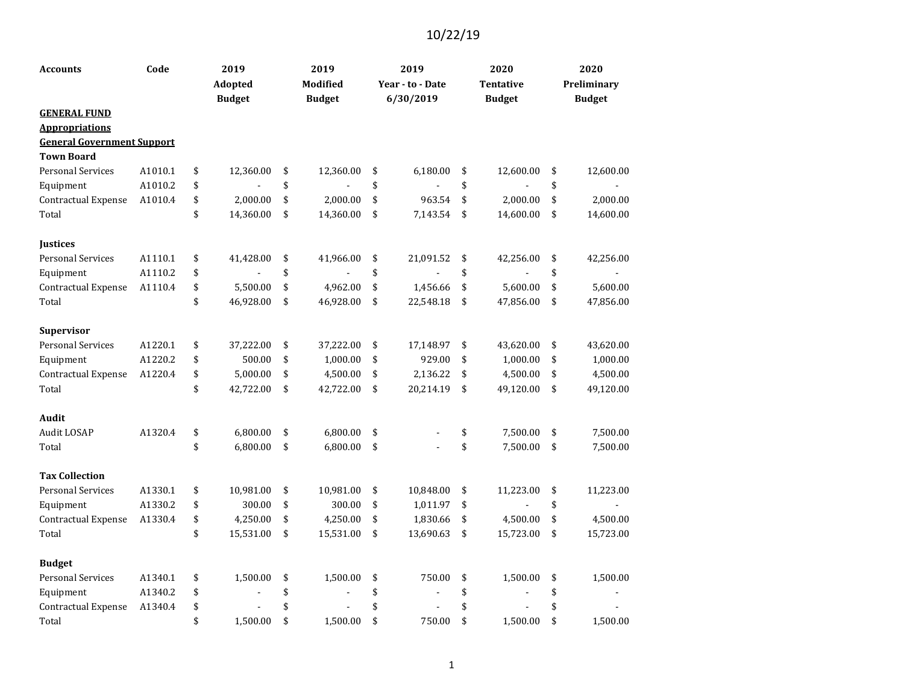| <b>Accounts</b>                                            | Code    | 2019            | 2019            | 2019             | 2020             | 2020            |
|------------------------------------------------------------|---------|-----------------|-----------------|------------------|------------------|-----------------|
|                                                            |         | Adopted         | Modified        | Year - to - Date | <b>Tentative</b> | Preliminary     |
|                                                            |         | <b>Budget</b>   | <b>Budget</b>   | 6/30/2019        | <b>Budget</b>    | <b>Budget</b>   |
| <b>GENERAL FUND</b>                                        |         |                 |                 |                  |                  |                 |
| <b>Appropriations</b><br><b>General Government Support</b> |         |                 |                 |                  |                  |                 |
| <b>Town Board</b>                                          |         |                 |                 |                  |                  |                 |
| <b>Personal Services</b>                                   | A1010.1 | \$<br>12,360.00 | \$<br>12,360.00 | \$<br>6,180.00   | \$<br>12,600.00  | \$<br>12,600.00 |
| Equipment                                                  | A1010.2 | \$              | \$              | \$               | \$               | \$              |
| Contractual Expense                                        | A1010.4 | \$<br>2,000.00  | \$<br>2,000.00  | \$<br>963.54     | \$<br>2,000.00   | \$<br>2,000.00  |
| Total                                                      |         | \$<br>14,360.00 | \$<br>14,360.00 | \$<br>7,143.54   | \$<br>14,600.00  | \$<br>14,600.00 |
|                                                            |         |                 |                 |                  |                  |                 |
| Justices                                                   |         |                 |                 |                  |                  |                 |
| <b>Personal Services</b>                                   | A1110.1 | \$<br>41,428.00 | \$<br>41,966.00 | \$<br>21,091.52  | \$<br>42,256.00  | \$<br>42,256.00 |
| Equipment                                                  | A1110.2 | \$              | \$              | \$               | \$               | \$              |
| Contractual Expense                                        | A1110.4 | \$<br>5,500.00  | \$<br>4,962.00  | \$<br>1,456.66   | \$<br>5,600.00   | \$<br>5,600.00  |
| Total                                                      |         | \$<br>46,928.00 | \$<br>46,928.00 | \$<br>22,548.18  | \$<br>47,856.00  | \$<br>47,856.00 |
|                                                            |         |                 |                 |                  |                  |                 |
| <b>Supervisor</b>                                          |         |                 |                 |                  |                  |                 |
| <b>Personal Services</b>                                   | A1220.1 | \$<br>37,222.00 | \$<br>37,222.00 | \$<br>17,148.97  | \$<br>43,620.00  | \$<br>43,620.00 |
| Equipment                                                  | A1220.2 | \$<br>500.00    | \$<br>1,000.00  | \$<br>929.00     | \$<br>1,000.00   | \$<br>1,000.00  |
| Contractual Expense                                        | A1220.4 | \$<br>5,000.00  | \$<br>4,500.00  | \$<br>2,136.22   | \$<br>4,500.00   | \$<br>4,500.00  |
| Total                                                      |         | \$<br>42,722.00 | \$<br>42,722.00 | \$<br>20,214.19  | \$<br>49,120.00  | \$<br>49,120.00 |
|                                                            |         |                 |                 |                  |                  |                 |
| Audit                                                      |         |                 |                 |                  |                  |                 |
| Audit LOSAP                                                | A1320.4 | \$<br>6,800.00  | \$<br>6,800.00  | \$               | \$<br>7,500.00   | \$<br>7,500.00  |
| Total                                                      |         | \$<br>6,800.00  | \$<br>6,800.00  | \$               | \$<br>7,500.00   | \$<br>7,500.00  |
| <b>Tax Collection</b>                                      |         |                 |                 |                  |                  |                 |
| <b>Personal Services</b>                                   | A1330.1 | \$<br>10,981.00 | \$<br>10,981.00 | \$<br>10,848.00  | \$<br>11,223.00  | \$<br>11,223.00 |
| Equipment                                                  | A1330.2 | \$<br>300.00    | \$<br>300.00    | \$<br>1,011.97   | \$               | \$              |
| <b>Contractual Expense</b>                                 | A1330.4 | \$<br>4,250.00  | \$<br>4,250.00  | \$<br>1,830.66   | \$<br>4,500.00   | \$<br>4,500.00  |
| Total                                                      |         | \$<br>15,531.00 | \$<br>15,531.00 | \$<br>13,690.63  | \$<br>15,723.00  | \$<br>15,723.00 |
|                                                            |         |                 |                 |                  |                  |                 |
| <b>Budget</b>                                              |         |                 |                 |                  |                  |                 |
| <b>Personal Services</b>                                   | A1340.1 | \$<br>1,500.00  | \$<br>1,500.00  | \$<br>750.00     | \$<br>1,500.00   | \$<br>1,500.00  |
| Equipment                                                  | A1340.2 | \$              | \$              | \$               | \$               | \$              |
| Contractual Expense                                        | A1340.4 | \$              | \$              | \$               | \$               | \$              |
| Total                                                      |         | \$<br>1,500.00  | \$<br>1,500.00  | \$<br>750.00     | \$<br>1,500.00   | \$<br>1,500.00  |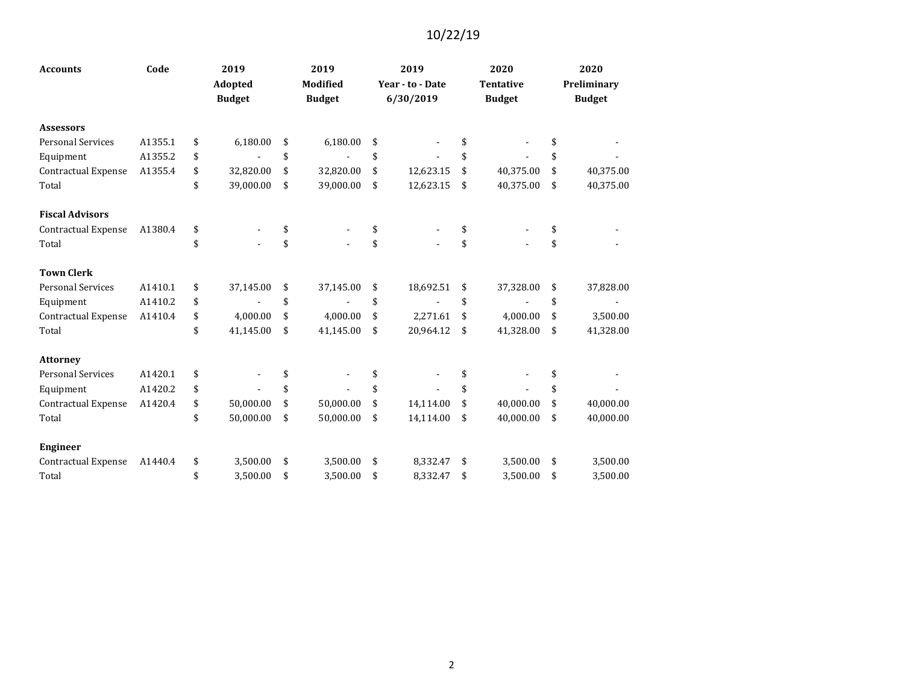| <b>Accounts</b>            | Code    | 2019<br>Adopted<br><b>Budget</b> | 2019<br><b>Modified</b><br><b>Budget</b> | 2019<br>Year - to - Date<br>6/30/2019 | 2020<br><b>Tentative</b><br><b>Budget</b> | 2020<br>Preliminary<br><b>Budget</b> |
|----------------------------|---------|----------------------------------|------------------------------------------|---------------------------------------|-------------------------------------------|--------------------------------------|
|                            |         |                                  |                                          |                                       |                                           |                                      |
| <b>Assessors</b>           |         |                                  |                                          |                                       |                                           |                                      |
| <b>Personal Services</b>   | A1355.1 | \$<br>6,180.00                   | \$<br>6,180.00                           | \$                                    |                                           | \$                                   |
| Equipment                  | A1355.2 | \$                               | \$                                       | \$                                    | \$                                        | \$                                   |
| <b>Contractual Expense</b> | A1355.4 | \$<br>32,820.00                  | \$<br>32,820.00                          | \$<br>12,623.15                       | \$<br>40,375.00                           | \$<br>40,375.00                      |
| Total                      |         | \$<br>39,000.00                  | \$<br>39,000.00                          | \$<br>12,623.15                       | \$<br>40,375.00                           | \$<br>40,375.00                      |
| <b>Fiscal Advisors</b>     |         |                                  |                                          |                                       |                                           |                                      |
| Contractual Expense        | A1380.4 | \$                               | \$                                       | \$                                    | \$                                        | \$                                   |
| Total                      |         | \$                               | \$                                       | \$                                    | \$                                        | \$                                   |
| <b>Town Clerk</b>          |         |                                  |                                          |                                       |                                           |                                      |
| <b>Personal Services</b>   | A1410.1 | \$<br>37,145.00                  | \$<br>37,145.00                          | \$<br>18,692.51                       | \$<br>37,328.00                           | \$<br>37,828.00                      |
| Equipment                  | A1410.2 | \$                               | \$                                       | \$                                    | \$                                        | \$                                   |
| Contractual Expense        | A1410.4 | \$<br>4,000.00                   | \$<br>4,000.00                           | \$<br>2,271.61                        | \$<br>4,000.00                            | \$<br>3,500.00                       |
| Total                      |         | \$<br>41,145.00                  | \$<br>41,145.00                          | \$<br>20,964.12                       | \$<br>41,328.00                           | \$<br>41,328.00                      |
| <b>Attorney</b>            |         |                                  |                                          |                                       |                                           |                                      |
| <b>Personal Services</b>   | A1420.1 | \$                               | \$                                       |                                       |                                           | \$                                   |
| Equipment                  | A1420.2 | \$                               | \$                                       | \$                                    | \$                                        | \$                                   |
| <b>Contractual Expense</b> | A1420.4 | \$<br>50,000.00                  | \$<br>50,000.00                          | \$<br>14,114.00                       | \$<br>40,000.00                           | \$<br>40,000.00                      |
| Total                      |         | \$<br>50,000.00                  | \$<br>50,000.00                          | \$<br>14,114.00                       | \$<br>40,000.00                           | \$<br>40,000.00                      |
| <b>Engineer</b>            |         |                                  |                                          |                                       |                                           |                                      |
| Contractual Expense        | A1440.4 | \$<br>3,500.00                   | \$<br>3,500.00                           | \$<br>8,332.47                        | \$<br>3,500.00                            | \$<br>3,500.00                       |
| Total                      |         | \$<br>3,500.00                   | \$<br>3,500.00                           | \$<br>8,332.47                        | \$<br>3,500.00                            | \$<br>3,500.00                       |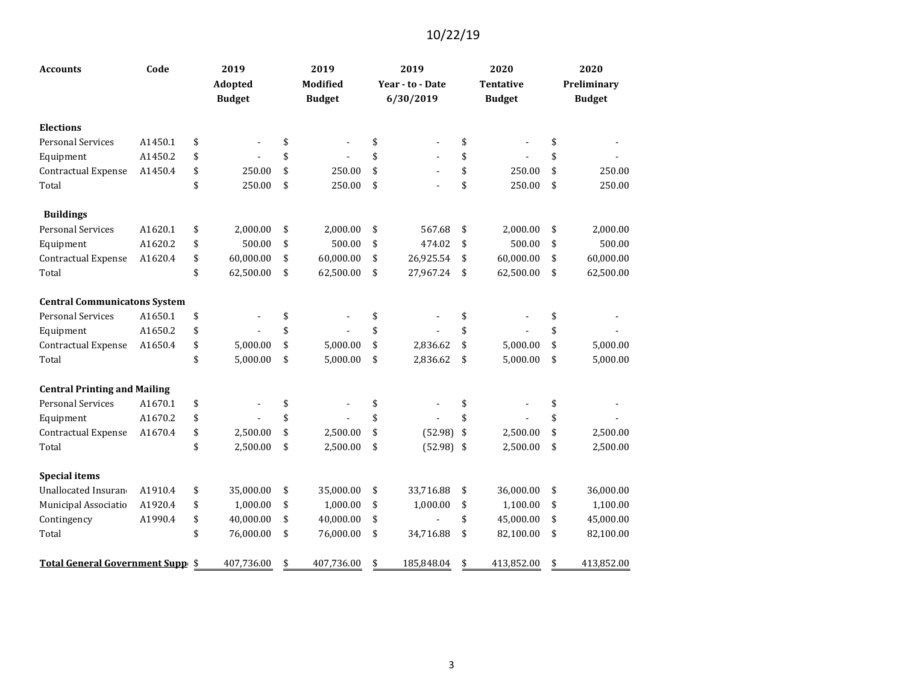| <b>Accounts</b>                     | Code    | 2019            | 2019             | 2019                 | 2020             | 2020             |
|-------------------------------------|---------|-----------------|------------------|----------------------|------------------|------------------|
|                                     |         | Adopted         | Modified         | Year - to - Date     | <b>Tentative</b> | Preliminary      |
|                                     |         | <b>Budget</b>   | <b>Budget</b>    | 6/30/2019            | <b>Budget</b>    | <b>Budget</b>    |
| <b>Elections</b>                    |         |                 |                  |                      |                  |                  |
| <b>Personal Services</b>            | A1450.1 | \$              | \$               | \$                   | \$               | \$               |
| Equipment                           | A1450.2 | \$              | \$               | \$                   | \$               | \$               |
| Contractual Expense                 | A1450.4 | \$<br>250.00    | \$<br>250.00     | \$<br>$\blacksquare$ | \$<br>250.00     | \$<br>250.00     |
| Total                               |         | \$<br>250.00    | \$<br>250.00     | \$                   | \$<br>250.00     | \$<br>250.00     |
| <b>Buildings</b>                    |         |                 |                  |                      |                  |                  |
| <b>Personal Services</b>            | A1620.1 | \$<br>2,000.00  | \$<br>2,000.00   | \$<br>567.68         | \$<br>2,000.00   | \$<br>2,000.00   |
| Equipment                           | A1620.2 | \$<br>500.00    | \$<br>500.00     | \$<br>474.02         | \$<br>500.00     | \$<br>500.00     |
| Contractual Expense                 | A1620.4 | \$<br>60,000.00 | \$<br>60,000.00  | \$<br>26,925.54      | \$<br>60,000.00  | \$<br>60,000.00  |
| Total                               |         | \$<br>62,500.00 | \$<br>62,500.00  | \$<br>27,967.24      | \$<br>62,500.00  | \$<br>62,500.00  |
| <b>Central Communicatons System</b> |         |                 |                  |                      |                  |                  |
| <b>Personal Services</b>            | A1650.1 | \$              | \$               | \$                   | \$               | \$               |
| Equipment                           | A1650.2 | \$              | \$               | \$                   | \$               | \$               |
| Contractual Expense                 | A1650.4 | \$<br>5,000.00  | \$<br>5,000.00   | \$<br>2,836.62       | \$<br>5,000.00   | \$<br>5,000.00   |
| Total                               |         | \$<br>5,000.00  | \$<br>5,000.00   | \$<br>2,836.62       | \$<br>5,000.00   | \$<br>5,000.00   |
| <b>Central Printing and Mailing</b> |         |                 |                  |                      |                  |                  |
| <b>Personal Services</b>            | A1670.1 | \$              | \$               | \$                   | \$               | \$               |
| Equipment                           | A1670.2 | \$              | \$               | \$                   | \$               | \$               |
| Contractual Expense                 | A1670.4 | \$<br>2,500.00  | \$<br>2,500.00   | \$<br>(52.98)        | \$<br>2,500.00   | \$<br>2,500.00   |
| Total                               |         | \$<br>2,500.00  | \$<br>2,500.00   | \$<br>(52.98)        | \$<br>2,500.00   | \$<br>2,500.00   |
| <b>Special items</b>                |         |                 |                  |                      |                  |                  |
| Unallocated Insuran                 | A1910.4 | \$<br>35,000.00 | \$<br>35,000.00  | \$<br>33,716.88      | \$<br>36,000.00  | \$<br>36,000.00  |
| Municipal Associatio                | A1920.4 | \$<br>1,000.00  | \$<br>1,000.00   | \$<br>1,000.00       | \$<br>1,100.00   | \$<br>1,100.00   |
| Contingency                         | A1990.4 | \$<br>40,000.00 | \$<br>40,000.00  | \$                   | \$<br>45,000.00  | \$<br>45,000.00  |
| Total                               |         | \$<br>76,000.00 | \$<br>76,000.00  | \$<br>34,716.88      | \$<br>82,100.00  | \$<br>82,100.00  |
| Total General Government Supp \$    |         | 407,736.00      | \$<br>407,736.00 | \$<br>185,848.04     | \$<br>413,852.00 | \$<br>413,852.00 |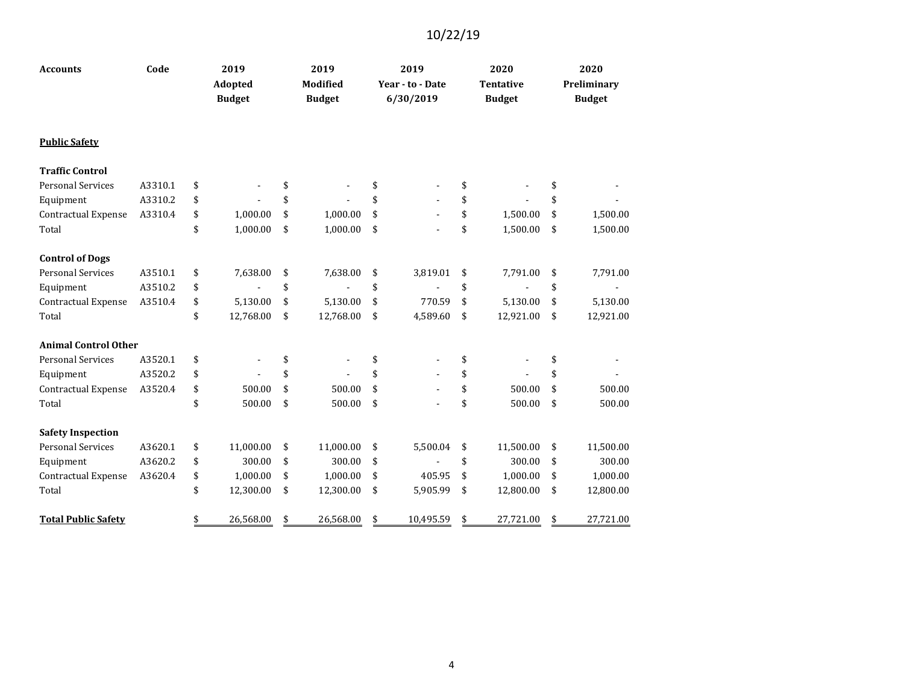| <b>Accounts</b>             | Code    | 2019<br><b>Adopted</b><br><b>Budget</b> | 2019<br><b>Modified</b><br><b>Budget</b> | 2019<br>Year - to - Date<br>6/30/2019 | 2020<br><b>Tentative</b><br><b>Budget</b> | 2020<br>Preliminary<br><b>Budget</b> |
|-----------------------------|---------|-----------------------------------------|------------------------------------------|---------------------------------------|-------------------------------------------|--------------------------------------|
| <b>Public Safety</b>        |         |                                         |                                          |                                       |                                           |                                      |
| <b>Traffic Control</b>      |         |                                         |                                          |                                       |                                           |                                      |
| <b>Personal Services</b>    | A3310.1 | \$                                      | \$                                       | \$                                    | \$                                        | \$                                   |
| Equipment                   | A3310.2 | \$                                      | \$                                       | \$                                    | \$                                        | \$                                   |
| Contractual Expense         | A3310.4 | \$<br>1,000.00                          | \$<br>1,000.00                           | \$                                    | \$<br>1,500.00                            | \$<br>1,500.00                       |
| Total                       |         | \$<br>1,000.00                          | \$<br>1,000.00                           | \$                                    | \$<br>1,500.00                            | \$<br>1,500.00                       |
| <b>Control of Dogs</b>      |         |                                         |                                          |                                       |                                           |                                      |
| <b>Personal Services</b>    | A3510.1 | \$<br>7,638.00                          | \$<br>7,638.00                           | \$<br>3,819.01                        | \$<br>7,791.00                            | \$<br>7,791.00                       |
| Equipment                   | A3510.2 | \$                                      | \$                                       | \$                                    | \$                                        | \$                                   |
| <b>Contractual Expense</b>  | A3510.4 | \$<br>5,130.00                          | \$<br>5,130.00                           | \$<br>770.59                          | \$<br>5,130.00                            | \$<br>5,130.00                       |
| Total                       |         | \$<br>12,768.00                         | \$<br>12,768.00                          | \$<br>4,589.60                        | \$<br>12,921.00                           | \$<br>12,921.00                      |
| <b>Animal Control Other</b> |         |                                         |                                          |                                       |                                           |                                      |
| <b>Personal Services</b>    | A3520.1 | \$                                      | \$                                       | \$                                    | \$                                        | \$                                   |
| Equipment                   | A3520.2 | \$                                      | \$                                       | \$                                    | \$                                        | \$                                   |
| Contractual Expense         | A3520.4 | \$<br>500.00                            | \$<br>500.00                             | \$                                    | \$<br>500.00                              | \$<br>500.00                         |
| Total                       |         | \$<br>500.00                            | \$<br>500.00                             | \$                                    | \$<br>500.00                              | \$<br>500.00                         |
| <b>Safety Inspection</b>    |         |                                         |                                          |                                       |                                           |                                      |
| <b>Personal Services</b>    | A3620.1 | \$<br>11,000.00                         | \$<br>11,000.00                          | \$<br>5,500.04                        | \$<br>11,500.00                           | \$<br>11,500.00                      |
| Equipment                   | A3620.2 | \$<br>300.00                            | \$<br>300.00                             | \$                                    | \$<br>300.00                              | \$<br>300.00                         |
| Contractual Expense         | A3620.4 | \$<br>1,000.00                          | \$<br>1,000.00                           | \$<br>405.95                          | \$<br>1,000.00                            | \$<br>1,000.00                       |
| Total                       |         | \$<br>12,300.00                         | \$<br>12,300.00                          | \$<br>5,905.99                        | \$<br>12,800.00                           | \$<br>12,800.00                      |
| <b>Total Public Safety</b>  |         | \$<br>26,568.00                         | \$<br>26,568.00                          | \$<br>10,495.59                       | \$<br>27,721.00                           | \$<br>27,721.00                      |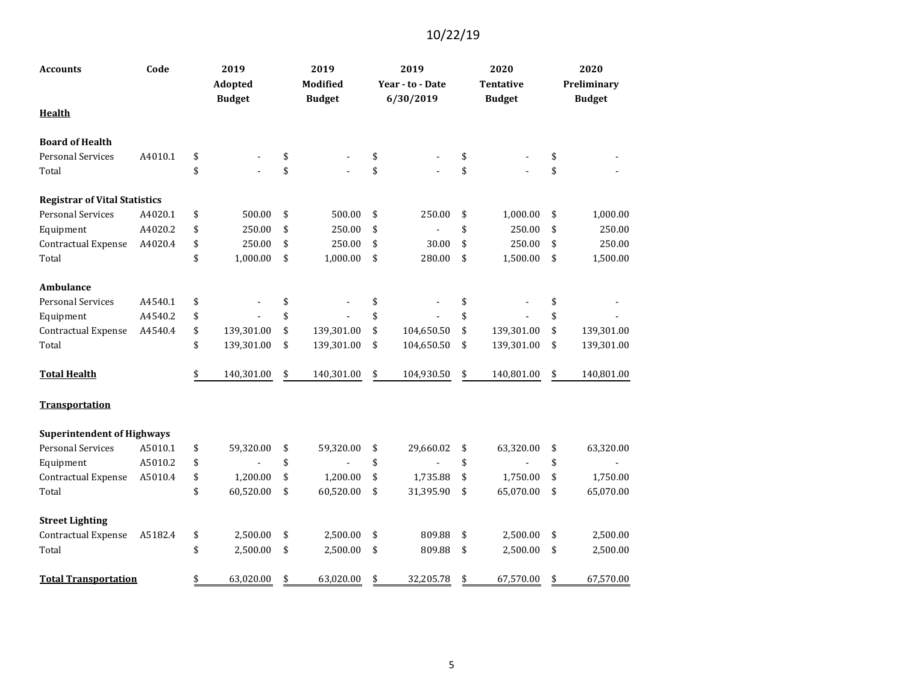| Accounts                             | Code    | 2019<br>Adopted  | 2019<br>Modified | 2019<br>Year - to - Date | 2020<br><b>Tentative</b> | 2020<br>Preliminary |
|--------------------------------------|---------|------------------|------------------|--------------------------|--------------------------|---------------------|
| <b>Health</b>                        |         | <b>Budget</b>    | <b>Budget</b>    | 6/30/2019                | <b>Budget</b>            | <b>Budget</b>       |
| <b>Board of Health</b>               |         |                  |                  |                          |                          |                     |
| <b>Personal Services</b>             | A4010.1 | \$               | \$               | \$                       | \$                       | \$                  |
| Total                                |         | \$               | \$               | \$                       | \$                       | \$                  |
| <b>Registrar of Vital Statistics</b> |         |                  |                  |                          |                          |                     |
| <b>Personal Services</b>             | A4020.1 | \$<br>500.00     | \$<br>500.00     | \$<br>250.00             | \$<br>1,000.00           | \$<br>1,000.00      |
| Equipment                            | A4020.2 | \$<br>250.00     | \$<br>250.00     | \$                       | \$<br>250.00             | \$<br>250.00        |
| Contractual Expense                  | A4020.4 | \$<br>250.00     | \$<br>250.00     | \$<br>30.00              | \$<br>250.00             | \$<br>250.00        |
| Total                                |         | \$<br>1,000.00   | \$<br>1,000.00   | \$<br>280.00             | \$<br>1,500.00           | \$<br>1,500.00      |
| Ambulance                            |         |                  |                  |                          |                          |                     |
| <b>Personal Services</b>             | A4540.1 | \$               | \$               | \$                       | \$                       | \$                  |
| Equipment                            | A4540.2 | \$               | \$               | \$                       | \$                       | \$                  |
| <b>Contractual Expense</b>           | A4540.4 | \$<br>139,301.00 | \$<br>139,301.00 | \$<br>104,650.50         | \$<br>139,301.00         | \$<br>139,301.00    |
| Total                                |         | \$<br>139,301.00 | \$<br>139,301.00 | \$<br>104,650.50         | \$<br>139,301.00         | \$<br>139,301.00    |
| <b>Total Health</b>                  |         | \$<br>140,301.00 | \$<br>140,301.00 | \$<br>104,930.50         | \$<br>140,801.00         | \$<br>140,801.00    |
| <b>Transportation</b>                |         |                  |                  |                          |                          |                     |
| <b>Superintendent of Highways</b>    |         |                  |                  |                          |                          |                     |
| <b>Personal Services</b>             | A5010.1 | \$<br>59,320.00  | \$<br>59,320.00  | \$<br>29,660.02          | \$<br>63,320.00          | \$<br>63,320.00     |
| Equipment                            | A5010.2 | \$               | \$               | \$                       | \$                       | \$                  |
| Contractual Expense                  | A5010.4 | \$<br>1,200.00   | \$<br>1,200.00   | \$<br>1,735.88           | \$<br>1,750.00           | \$<br>1,750.00      |
| Total                                |         | \$<br>60,520.00  | \$<br>60,520.00  | \$<br>31,395.90          | \$<br>65,070.00          | \$<br>65,070.00     |
| <b>Street Lighting</b>               |         |                  |                  |                          |                          |                     |
| Contractual Expense                  | A5182.4 | \$<br>2,500.00   | \$<br>2,500.00   | \$<br>809.88             | \$<br>2,500.00           | \$<br>2,500.00      |
| Total                                |         | \$<br>2,500.00   | \$<br>2,500.00   | \$<br>809.88             | \$<br>2,500.00           | \$<br>2,500.00      |
| <b>Total Transportation</b>          |         | \$<br>63,020.00  | \$<br>63,020.00  | \$<br>32,205.78          | \$<br>67,570.00          | \$<br>67,570.00     |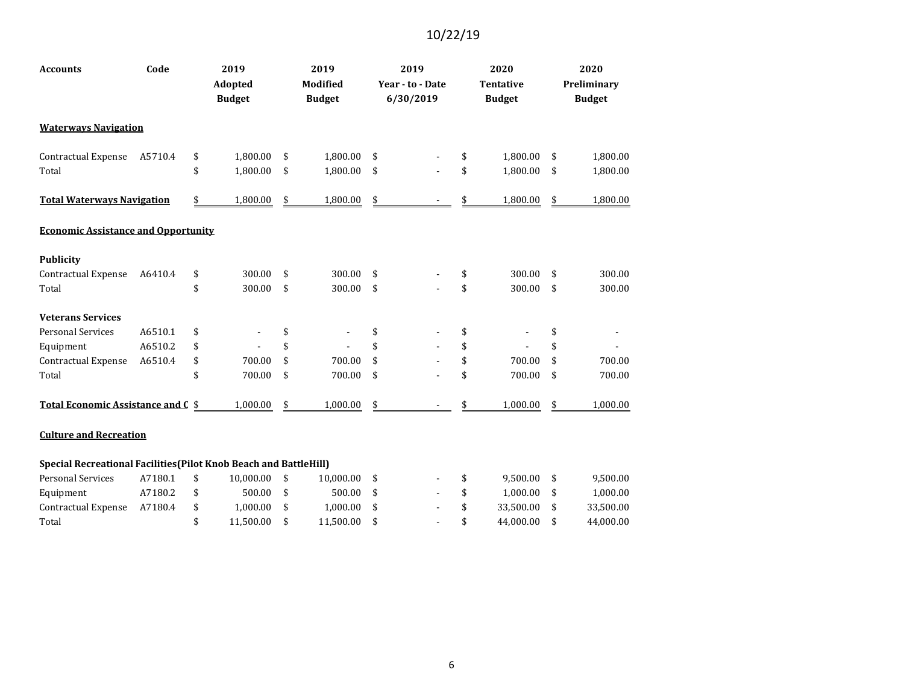| <b>Accounts</b>                                                   | Code    | 2019                            | 2019                             |                          | 2019                          | 2020                              |                          | 2020                         |
|-------------------------------------------------------------------|---------|---------------------------------|----------------------------------|--------------------------|-------------------------------|-----------------------------------|--------------------------|------------------------------|
|                                                                   |         | <b>Adopted</b><br><b>Budget</b> | <b>Modified</b><br><b>Budget</b> |                          | Year - to - Date<br>6/30/2019 | <b>Tentative</b><br><b>Budget</b> |                          | Preliminary<br><b>Budget</b> |
| <b>Waterways Navigation</b>                                       |         |                                 |                                  |                          |                               |                                   |                          |                              |
| Contractual Expense                                               | A5710.4 | \$<br>1,800.00                  | \$<br>1,800.00                   | \$                       |                               | \$<br>1,800.00                    | \$                       | 1,800.00                     |
| Total                                                             |         | \$<br>1,800.00                  | \$<br>1,800.00                   | \$                       |                               | \$<br>1,800.00                    | \$                       | 1,800.00                     |
| <b>Total Waterways Navigation</b>                                 |         | \$<br>1,800.00                  | \$<br>1,800.00                   | $\overline{\mathcal{F}}$ |                               | 1,800.00                          | $\overline{\mathcal{F}}$ | 1,800.00                     |
| <b>Economic Assistance and Opportunity</b>                        |         |                                 |                                  |                          |                               |                                   |                          |                              |
| <b>Publicity</b>                                                  |         |                                 |                                  |                          |                               |                                   |                          |                              |
| Contractual Expense                                               | A6410.4 | \$<br>300.00                    | \$<br>300.00                     | \$                       |                               | \$<br>300.00                      | \$                       | 300.00                       |
| Total                                                             |         | \$<br>300.00                    | \$<br>300.00                     | \$                       |                               | \$<br>300.00                      | \$                       | 300.00                       |
| <b>Veterans Services</b>                                          |         |                                 |                                  |                          |                               |                                   |                          |                              |
| <b>Personal Services</b>                                          | A6510.1 | \$                              | \$                               | \$                       |                               | \$                                | \$                       |                              |
| Equipment                                                         | A6510.2 | \$                              | \$                               | \$                       |                               | \$                                | \$                       |                              |
| Contractual Expense                                               | A6510.4 | \$<br>700.00                    | \$<br>700.00                     | \$                       |                               | \$<br>700.00                      | \$                       | 700.00                       |
| Total                                                             |         | \$<br>700.00                    | \$<br>700.00                     | \$                       |                               | \$<br>700.00                      | \$                       | 700.00                       |
| <b>Total Economic Assistance and C</b>                            |         | \$<br>1,000.00                  | \$<br>1,000.00                   | \$                       |                               | \$<br>1,000.00                    | \$                       | 1,000.00                     |
| <b>Culture and Recreation</b>                                     |         |                                 |                                  |                          |                               |                                   |                          |                              |
| Special Recreational Facilities (Pilot Knob Beach and BattleHill) |         |                                 |                                  |                          |                               |                                   |                          |                              |
| <b>Personal Services</b>                                          | A7180.1 | \$<br>10,000.00                 | \$<br>10,000.00                  | \$                       |                               | \$<br>9,500.00                    | \$                       | 9,500.00                     |
| Equipment                                                         | A7180.2 | \$<br>500.00                    | \$<br>500.00                     | \$                       |                               | \$<br>1,000.00                    | \$                       | 1,000.00                     |
| Contractual Expense                                               | A7180.4 | \$<br>1,000.00                  | \$<br>1,000.00                   | \$                       |                               | \$<br>33,500.00                   | \$                       | 33,500.00                    |
| Total                                                             |         | \$<br>11,500.00                 | \$<br>11,500.00                  | \$                       |                               | \$<br>44,000.00                   | \$                       | 44,000.00                    |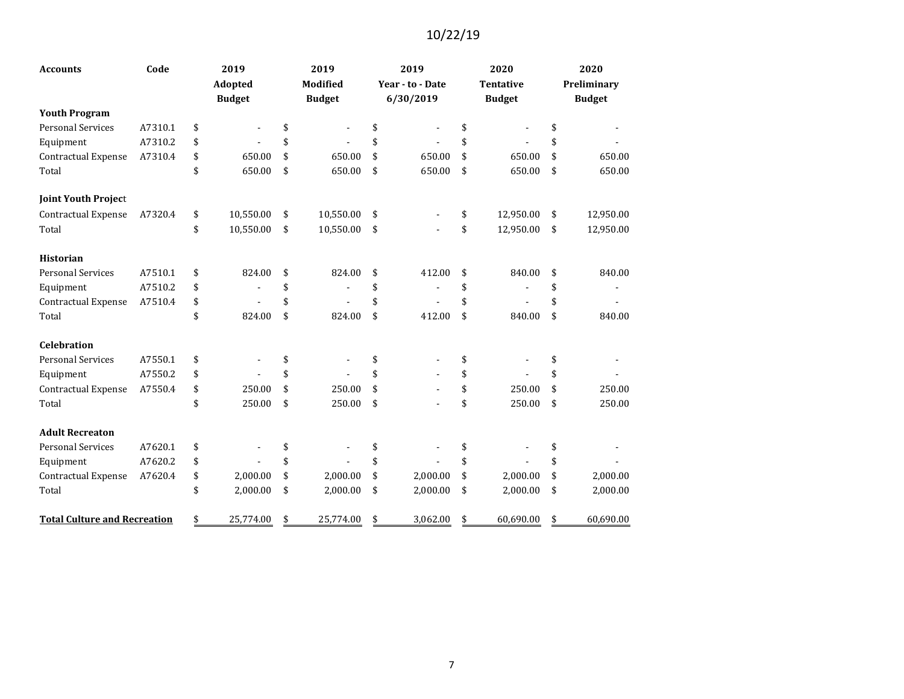| <b>Accounts</b>                     | Code    |         | 2019          | 2019                 | 2019             | 2020             | 2020            |
|-------------------------------------|---------|---------|---------------|----------------------|------------------|------------------|-----------------|
|                                     |         | Adopted |               | <b>Modified</b>      | Year - to - Date | <b>Tentative</b> | Preliminary     |
|                                     |         |         | <b>Budget</b> | <b>Budget</b>        | 6/30/2019        | <b>Budget</b>    | <b>Budget</b>   |
| <b>Youth Program</b>                |         |         |               |                      |                  |                  |                 |
| <b>Personal Services</b>            | A7310.1 | \$      |               | \$<br>$\blacksquare$ | \$               | \$               | \$              |
| Equipment                           | A7310.2 | \$      |               | \$                   | \$               | \$               | \$              |
| Contractual Expense                 | A7310.4 | \$      | 650.00        | \$<br>650.00         | \$<br>650.00     | \$<br>650.00     | \$<br>650.00    |
| Total                               |         | \$      | 650.00        | \$<br>650.00         | \$<br>650.00     | \$<br>650.00     | \$<br>650.00    |
| <b>Joint Youth Project</b>          |         |         |               |                      |                  |                  |                 |
| Contractual Expense                 | A7320.4 | \$      | 10,550.00     | \$<br>10,550.00      | \$               | \$<br>12,950.00  | \$<br>12,950.00 |
| Total                               |         | \$      | 10,550.00     | \$<br>10,550.00      | \$               | \$<br>12,950.00  | \$<br>12,950.00 |
| <b>Historian</b>                    |         |         |               |                      |                  |                  |                 |
| <b>Personal Services</b>            | A7510.1 | \$      | 824.00        | \$<br>824.00         | \$<br>412.00     | \$<br>840.00     | \$<br>840.00    |
| Equipment                           | A7510.2 | \$      |               | \$                   | \$               | \$               | \$              |
| Contractual Expense                 | A7510.4 | \$      |               | \$                   | \$               | \$               | \$              |
| Total                               |         | \$      | 824.00        | \$<br>824.00         | \$<br>412.00     | \$<br>840.00     | \$<br>840.00    |
| <b>Celebration</b>                  |         |         |               |                      |                  |                  |                 |
| <b>Personal Services</b>            | A7550.1 | \$      |               | \$                   | \$               | \$               | \$              |
| Equipment                           | A7550.2 | \$      |               | \$                   | \$               | \$               | \$              |
| <b>Contractual Expense</b>          | A7550.4 | \$      | 250.00        | \$<br>250.00         | \$               | \$<br>250.00     | \$<br>250.00    |
| Total                               |         | \$      | 250.00        | \$<br>250.00         | \$               | \$<br>250.00     | \$<br>250.00    |
| <b>Adult Recreaton</b>              |         |         |               |                      |                  |                  |                 |
| <b>Personal Services</b>            | A7620.1 | \$      |               | \$                   | \$               | \$               | \$              |
| Equipment                           | A7620.2 | \$      |               | \$                   | \$               | \$               | \$              |
| Contractual Expense                 | A7620.4 | \$      | 2,000.00      | \$<br>2,000.00       | \$<br>2,000.00   | \$<br>2,000.00   | \$<br>2,000.00  |
| Total                               |         | \$      | 2,000.00      | \$<br>2,000.00       | \$<br>2,000.00   | \$<br>2,000.00   | \$<br>2,000.00  |
| <b>Total Culture and Recreation</b> |         | \$      | 25,774.00     | \$<br>25,774.00      | \$<br>3,062.00   | \$<br>60,690.00  | \$<br>60,690.00 |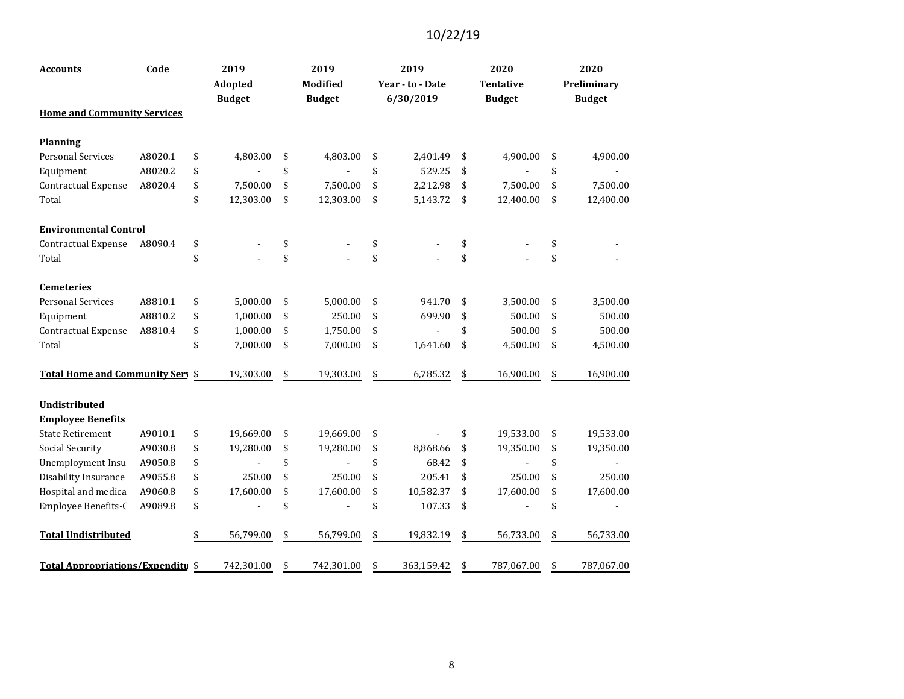| <b>Accounts</b>                    | Code    | 2019<br>Adopted | 2019<br><b>Modified</b> | 2019<br>Year - to - Date | 2020<br><b>Tentative</b> | 2020<br>Preliminary |
|------------------------------------|---------|-----------------|-------------------------|--------------------------|--------------------------|---------------------|
|                                    |         | <b>Budget</b>   | <b>Budget</b>           | 6/30/2019                | <b>Budget</b>            | <b>Budget</b>       |
| <b>Home and Community Services</b> |         |                 |                         |                          |                          |                     |
| <b>Planning</b>                    |         |                 |                         |                          |                          |                     |
| <b>Personal Services</b>           | A8020.1 | \$<br>4,803.00  | \$<br>4,803.00          | \$<br>2,401.49           | \$<br>4,900.00           | \$<br>4,900.00      |
| Equipment                          | A8020.2 | \$              | \$                      | \$<br>529.25             | \$                       | \$                  |
| <b>Contractual Expense</b>         | A8020.4 | \$<br>7,500.00  | \$<br>7,500.00          | \$<br>2,212.98           | \$<br>7,500.00           | \$<br>7,500.00      |
| Total                              |         | \$<br>12,303.00 | \$<br>12,303.00         | \$<br>5,143.72           | \$<br>12,400.00          | \$<br>12,400.00     |
| <b>Environmental Control</b>       |         |                 |                         |                          |                          |                     |
| Contractual Expense                | A8090.4 | \$              | \$                      | \$                       | \$                       | \$                  |
| Total                              |         | \$              | \$                      | \$                       | \$                       | \$                  |
| <b>Cemeteries</b>                  |         |                 |                         |                          |                          |                     |
| <b>Personal Services</b>           | A8810.1 | \$<br>5,000.00  | \$<br>5,000.00          | \$<br>941.70             | \$<br>3,500.00           | \$<br>3,500.00      |
| Equipment                          | A8810.2 | \$<br>1,000.00  | \$<br>250.00            | \$<br>699.90             | \$<br>500.00             | \$<br>500.00        |
| Contractual Expense                | A8810.4 | \$<br>1,000.00  | \$<br>1,750.00          | \$                       | \$<br>500.00             | \$<br>500.00        |
| Total                              |         | \$<br>7,000.00  | \$<br>7,000.00          | \$<br>1,641.60           | \$<br>4,500.00           | \$<br>4,500.00      |
| Total Home and Community Sery \$   |         | 19,303.00       | \$<br>19,303.00         | \$<br>6,785.32           | \$<br>16,900.00          | \$<br>16,900.00     |
| Undistributed                      |         |                 |                         |                          |                          |                     |
| <b>Employee Benefits</b>           |         |                 |                         |                          |                          |                     |
| <b>State Retirement</b>            | A9010.1 | \$<br>19,669.00 | \$<br>19,669.00         | \$                       | \$<br>19,533.00          | \$<br>19,533.00     |
| Social Security                    | A9030.8 | \$<br>19,280.00 | \$<br>19,280.00         | \$<br>8,868.66           | \$<br>19,350.00          | \$<br>19,350.00     |
| Unemployment Insu                  | A9050.8 | \$              | \$                      | \$<br>68.42              | \$                       | \$                  |
| Disability Insurance               | A9055.8 | \$<br>250.00    | \$<br>250.00            | \$<br>205.41             | \$<br>250.00             | \$<br>250.00        |
| Hospital and medica                | A9060.8 | \$<br>17,600.00 | \$<br>17,600.00         | \$<br>10,582.37          | \$<br>17,600.00          | \$<br>17,600.00     |
| Employee Benefits-C                | A9089.8 | \$              | \$                      | \$<br>107.33             | \$                       | \$                  |
| <b>Total Undistributed</b>         |         | \$<br>56,799.00 | \$<br>56,799.00         | \$<br>19,832.19          | \$<br>56,733.00          | \$<br>56,733.00     |
| Total Appropriations/Expenditu \$  |         | 742,301.00      | \$<br>742,301.00        | \$<br>363,159.42         | \$<br>787,067.00         | \$<br>787,067.00    |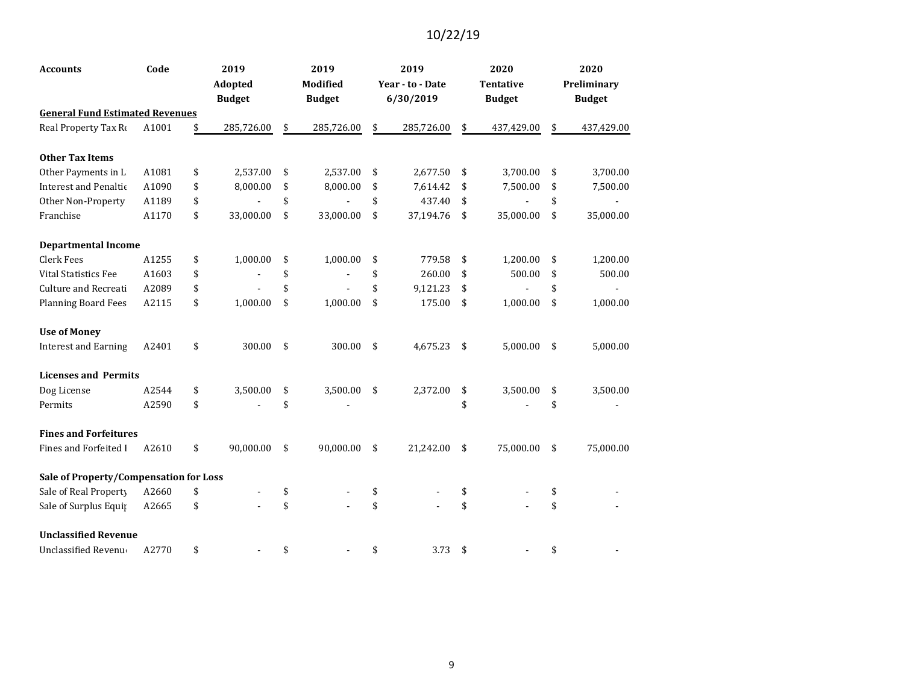| <b>Accounts</b>                        | Code  | 2019             | 2019             | 2019             | 2020             | 2020             |
|----------------------------------------|-------|------------------|------------------|------------------|------------------|------------------|
|                                        |       | Adopted          | <b>Modified</b>  | Year - to - Date | Tentative        | Preliminary      |
|                                        |       | <b>Budget</b>    | <b>Budget</b>    | 6/30/2019        | <b>Budget</b>    | <b>Budget</b>    |
| <b>General Fund Estimated Revenues</b> |       |                  |                  |                  |                  |                  |
| Real Property Tax Re                   | A1001 | \$<br>285,726.00 | \$<br>285,726.00 | \$<br>285,726.00 | \$<br>437,429.00 | \$<br>437,429.00 |
| <b>Other Tax Items</b>                 |       |                  |                  |                  |                  |                  |
| Other Payments in L                    | A1081 | \$<br>2,537.00   | \$<br>2,537.00   | \$<br>2,677.50   | \$<br>3,700.00   | \$<br>3,700.00   |
| <b>Interest and Penaltic</b>           | A1090 | \$<br>8,000.00   | \$<br>8,000.00   | \$<br>7,614.42   | \$<br>7,500.00   | \$<br>7,500.00   |
| Other Non-Property                     | A1189 | \$               | \$               | \$<br>437.40     | \$               | \$               |
| Franchise                              | A1170 | \$<br>33,000.00  | \$<br>33,000.00  | \$<br>37,194.76  | \$<br>35,000.00  | \$<br>35,000.00  |
| <b>Departmental Income</b>             |       |                  |                  |                  |                  |                  |
| <b>Clerk Fees</b>                      | A1255 | \$<br>1,000.00   | \$<br>1,000.00   | \$<br>779.58     | \$<br>1,200.00   | \$<br>1,200.00   |
| Vital Statistics Fee                   | A1603 | \$               | \$               | \$<br>260.00     | \$<br>500.00     | \$<br>500.00     |
| Culture and Recreati                   | A2089 | \$               | \$               | \$<br>9,121.23   | \$               | \$               |
| <b>Planning Board Fees</b>             | A2115 | \$<br>1,000.00   | \$<br>1,000.00   | \$<br>175.00     | \$<br>1,000.00   | \$<br>1,000.00   |
| <b>Use of Money</b>                    |       |                  |                  |                  |                  |                  |
| <b>Interest and Earning</b>            | A2401 | \$<br>300.00     | \$<br>300.00     | \$<br>4,675.23   | \$<br>5,000.00   | \$<br>5,000.00   |
| <b>Licenses and Permits</b>            |       |                  |                  |                  |                  |                  |
| Dog License                            | A2544 | \$<br>3,500.00   | \$<br>3,500.00   | \$<br>2,372.00   | \$<br>3,500.00   | \$<br>3,500.00   |
| Permits                                | A2590 | \$               | \$               |                  | \$               | \$               |
| <b>Fines and Forfeitures</b>           |       |                  |                  |                  |                  |                  |
| Fines and Forfeited I                  | A2610 | \$<br>90,000.00  | \$<br>90,000.00  | \$<br>21,242.00  | \$<br>75,000.00  | \$<br>75,000.00  |
| Sale of Property/Compensation for Loss |       |                  |                  |                  |                  |                  |
| Sale of Real Property                  | A2660 | \$               | \$               | \$               | \$               | \$               |
| Sale of Surplus Equip                  | A2665 | \$               | \$               | \$               | \$               | \$               |
| <b>Unclassified Revenue</b>            |       |                  |                  |                  |                  |                  |
| <b>Unclassified Revenue</b>            | A2770 | \$               | \$               | \$<br>3.73       | \$               | \$               |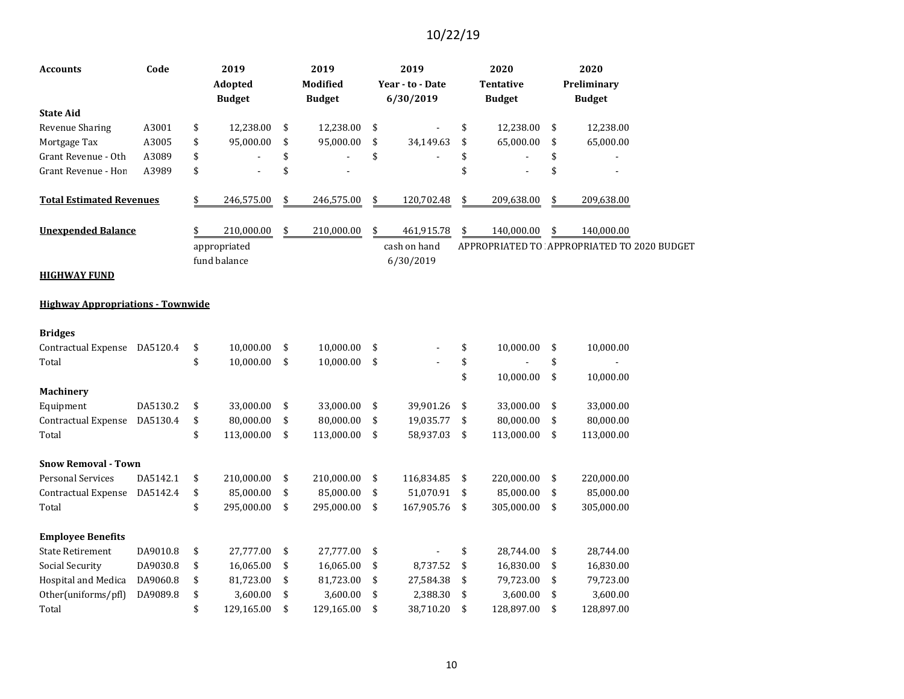| Accounts                                 | Code     | 2019<br>Adopted<br><b>Budget</b> | 2019<br>Modified<br><b>Budget</b> | 2019<br>Year - to - Date<br>6/30/2019 | 2020<br><b>Tentative</b><br><b>Budget</b> | 2020<br>Preliminary<br><b>Budget</b>        |
|------------------------------------------|----------|----------------------------------|-----------------------------------|---------------------------------------|-------------------------------------------|---------------------------------------------|
| <b>State Aid</b>                         |          |                                  |                                   |                                       |                                           |                                             |
| <b>Revenue Sharing</b>                   | A3001    | \$<br>12,238.00                  | \$<br>12,238.00                   | \$                                    | \$<br>12,238.00                           | \$<br>12,238.00                             |
| Mortgage Tax                             | A3005    | \$<br>95,000.00                  | \$<br>95,000.00                   | \$<br>34,149.63                       | \$<br>65,000.00                           | \$<br>65,000.00                             |
| Grant Revenue - Oth                      | A3089    | \$                               | \$                                | \$                                    | \$                                        | \$                                          |
| Grant Revenue - Hon                      | A3989    | \$                               | \$                                |                                       | \$                                        | \$                                          |
| <b>Total Estimated Revenues</b>          |          | \$<br>246,575.00                 | \$<br>246,575.00                  | \$<br>120,702.48                      | \$<br>209,638.00                          | \$<br>209,638.00                            |
| <b>Unexpended Balance</b>                |          | \$<br>210,000.00                 | \$<br>210,000.00                  | \$<br>461,915.78                      | \$<br>140,000.00                          | \$<br>140,000.00                            |
|                                          |          | appropriated<br>fund balance     |                                   | cash on hand<br>6/30/2019             |                                           | APPROPRIATED TO APPROPRIATED TO 2020 BUDGET |
| <b>HIGHWAY FUND</b>                      |          |                                  |                                   |                                       |                                           |                                             |
| <b>Highway Appropriations - Townwide</b> |          |                                  |                                   |                                       |                                           |                                             |
| <b>Bridges</b>                           |          |                                  |                                   |                                       |                                           |                                             |
| Contractual Expense                      | DA5120.4 | \$<br>10,000.00                  | \$<br>10,000.00                   | \$                                    | \$<br>10,000.00                           | \$<br>10,000.00                             |
| Total                                    |          | \$<br>10,000.00                  | \$<br>10,000.00                   | \$                                    | \$                                        | \$                                          |
|                                          |          |                                  |                                   |                                       | \$<br>10,000.00                           | \$<br>10,000.00                             |
| <b>Machinery</b>                         |          |                                  |                                   |                                       |                                           |                                             |
| Equipment                                | DA5130.2 | \$<br>33,000.00                  | \$<br>33,000.00                   | \$<br>39,901.26                       | \$<br>33,000.00                           | \$<br>33,000.00                             |
| Contractual Expense                      | DA5130.4 | \$<br>80,000.00                  | \$<br>80,000.00                   | \$<br>19,035.77                       | \$<br>80,000.00                           | \$<br>80,000.00                             |
| Total                                    |          | \$<br>113,000.00                 | \$<br>113,000.00                  | \$<br>58,937.03                       | \$<br>113,000.00                          | \$<br>113,000.00                            |
| <b>Snow Removal - Town</b>               |          |                                  |                                   |                                       |                                           |                                             |
| <b>Personal Services</b>                 | DA5142.1 | \$<br>210,000.00                 | \$<br>210,000.00                  | \$<br>116,834.85                      | \$<br>220,000.00                          | \$<br>220,000.00                            |
| <b>Contractual Expense</b>               | DA5142.4 | \$<br>85,000.00                  | \$<br>85,000.00                   | \$<br>51,070.91                       | \$<br>85,000.00                           | \$<br>85,000.00                             |
| Total                                    |          | \$<br>295,000.00                 | \$<br>295,000.00                  | \$<br>167,905.76                      | \$<br>305,000.00                          | \$<br>305,000.00                            |
| <b>Employee Benefits</b>                 |          |                                  |                                   |                                       |                                           |                                             |
| <b>State Retirement</b>                  | DA9010.8 | \$<br>27,777.00                  | \$<br>27,777.00                   | \$                                    | \$<br>28,744.00                           | \$<br>28,744.00                             |
| Social Security                          | DA9030.8 | \$<br>16,065.00                  | \$<br>16,065.00                   | \$<br>8,737.52                        | \$<br>16,830.00                           | \$<br>16,830.00                             |
| Hospital and Medica                      | DA9060.8 | \$<br>81,723.00                  | \$<br>81,723.00                   | \$<br>27,584.38                       | \$<br>79,723.00                           | \$<br>79,723.00                             |
| Other(uniforms/pfl)                      | DA9089.8 | \$<br>3,600.00                   | \$<br>3,600.00                    | \$<br>2,388.30                        | \$<br>3,600.00                            | \$<br>3,600.00                              |
| Total                                    |          | \$<br>129,165.00                 | \$<br>129,165.00                  | \$<br>38,710.20                       | \$<br>128,897.00                          | \$<br>128,897.00                            |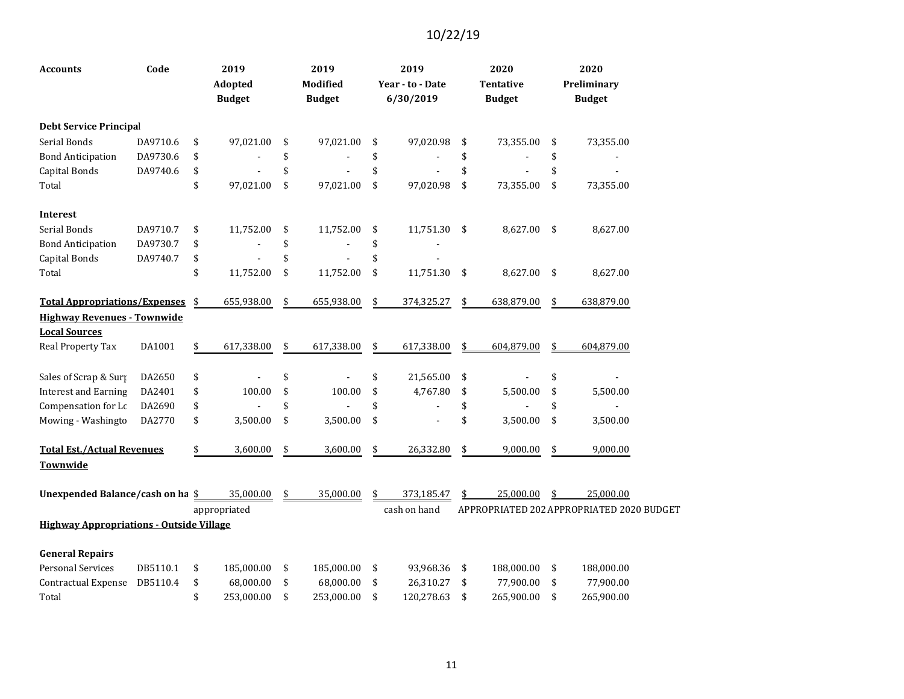| Accounts                                        | Code     |               | 2019<br><b>Adopted</b><br><b>Budget</b> | 2019<br>Modified<br><b>Budget</b> | 2019<br>Year - to - Date<br>6/30/2019 | 2020<br><b>Tentative</b><br><b>Budget</b> | 2020<br>Preliminary<br><b>Budget</b>      |
|-------------------------------------------------|----------|---------------|-----------------------------------------|-----------------------------------|---------------------------------------|-------------------------------------------|-------------------------------------------|
| <b>Debt Service Principal</b>                   |          |               |                                         |                                   |                                       |                                           |                                           |
| Serial Bonds                                    | DA9710.6 | \$            | 97,021.00                               | \$<br>97,021.00                   | \$<br>97,020.98                       | \$<br>73,355.00                           | \$<br>73,355.00                           |
| <b>Bond Anticipation</b>                        | DA9730.6 | \$            |                                         | \$                                | \$                                    | \$                                        | \$                                        |
| <b>Capital Bonds</b>                            | DA9740.6 | \$            |                                         | \$                                | \$                                    | \$                                        | \$                                        |
| Total                                           |          | \$            | 97,021.00                               | \$<br>97,021.00                   | \$<br>97,020.98                       | \$<br>73,355.00                           | \$<br>73,355.00                           |
| <b>Interest</b>                                 |          |               |                                         |                                   |                                       |                                           |                                           |
| Serial Bonds                                    | DA9710.7 | \$            | 11,752.00                               | \$<br>11,752.00                   | \$<br>11,751.30                       | \$<br>8,627.00                            | \$<br>8,627.00                            |
| <b>Bond Anticipation</b>                        | DA9730.7 | \$            |                                         | \$                                | \$                                    |                                           |                                           |
| <b>Capital Bonds</b>                            | DA9740.7 | \$            |                                         | \$                                | \$                                    |                                           |                                           |
| Total                                           |          | \$            | 11,752.00                               | \$<br>11,752.00                   | \$<br>11,751.30                       | \$<br>8,627.00                            | \$<br>8,627.00                            |
| <b>Total Appropriations/Expenses</b>            |          | \$            | 655,938.00                              | \$<br>655,938.00                  | \$<br>374,325.27                      | \$<br>638,879.00                          | \$<br>638,879.00                          |
| <b>Highway Revenues - Townwide</b>              |          |               |                                         |                                   |                                       |                                           |                                           |
| <b>Local Sources</b>                            |          |               |                                         |                                   |                                       |                                           |                                           |
| Real Property Tax                               | DA1001   | $\frac{1}{2}$ | 617,338.00                              | \$<br>617,338.00                  | \$<br>617,338.00                      | \$<br>604,879.00                          | \$<br>604,879.00                          |
| Sales of Scrap & Surp                           | DA2650   | \$            |                                         | \$                                | \$<br>21,565.00                       | \$                                        | \$                                        |
| <b>Interest and Earning</b>                     | DA2401   | \$            | 100.00                                  | \$<br>100.00                      | \$<br>4,767.80                        | \$<br>5,500.00                            | \$<br>5,500.00                            |
| Compensation for Lc                             | DA2690   | \$            |                                         | \$                                | \$                                    | \$                                        | \$                                        |
| Mowing - Washingto                              | DA2770   | \$            | 3,500.00                                | \$<br>3,500.00                    | \$                                    | \$<br>3,500.00                            | \$<br>3,500.00                            |
| <b>Total Est./Actual Revenues</b>               |          | \$            | 3,600.00                                | \$<br>3,600.00                    | \$<br>26,332.80                       | \$<br>9,000.00                            | \$<br>9,000.00                            |
| Townwide                                        |          |               |                                         |                                   |                                       |                                           |                                           |
| Unexpended Balance/cash on ha \$                |          |               | 35,000.00                               | \$<br>35,000.00                   | \$<br>373,185.47                      | 25,000.00                                 | 25,000.00                                 |
|                                                 |          |               | appropriated                            |                                   | cash on hand                          |                                           | APPROPRIATED 202 APPROPRIATED 2020 BUDGET |
| <b>Highway Appropriations - Outside Village</b> |          |               |                                         |                                   |                                       |                                           |                                           |
| <b>General Repairs</b>                          |          |               |                                         |                                   |                                       |                                           |                                           |
| <b>Personal Services</b>                        | DB5110.1 | \$            | 185,000.00                              | \$<br>185,000.00                  | \$<br>93,968.36                       | \$<br>188,000.00                          | \$<br>188,000.00                          |
| Contractual Expense                             | DB5110.4 | \$            | 68,000.00                               | \$<br>68,000.00                   | \$<br>26,310.27                       | \$<br>77,900.00                           | \$<br>77,900.00                           |
| Total                                           |          | \$            | 253,000.00                              | \$<br>253,000.00                  | \$<br>120,278.63                      | \$<br>265,900.00                          | \$<br>265,900.00                          |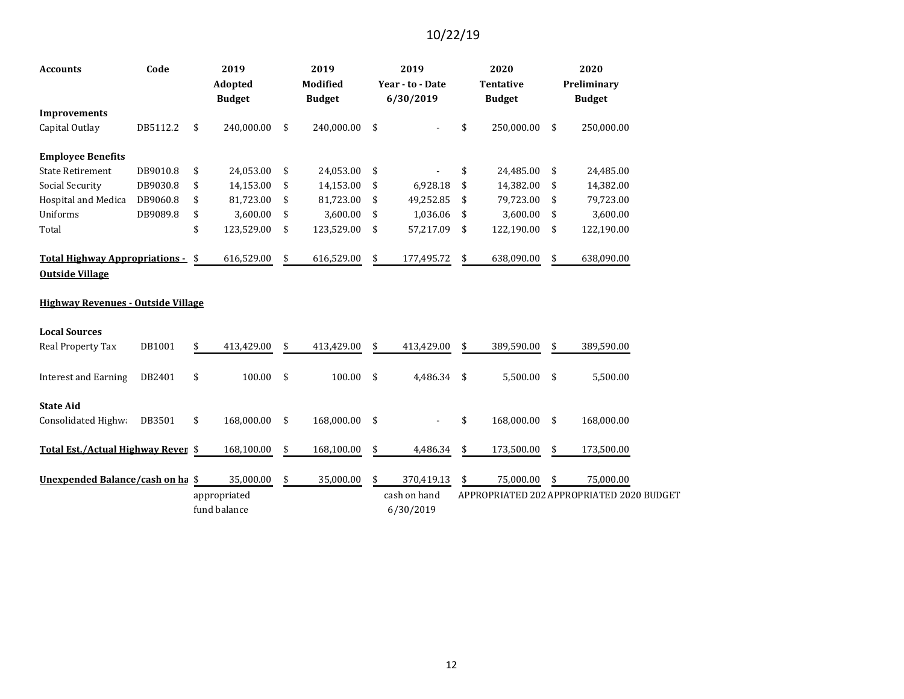| Code<br><b>Accounts</b>                                             |          | 2019<br>Adopted<br><b>Budget</b> |              |     | 2019<br><b>Modified</b><br><b>Budget</b> | 2019<br>Year - to - Date<br>6/30/2019 |              |    | 2020<br><b>Tentative</b><br><b>Budget</b> | 2020<br>Preliminary<br><b>Budget</b>      |
|---------------------------------------------------------------------|----------|----------------------------------|--------------|-----|------------------------------------------|---------------------------------------|--------------|----|-------------------------------------------|-------------------------------------------|
| <b>Improvements</b>                                                 |          |                                  |              |     |                                          |                                       |              |    |                                           |                                           |
| Capital Outlay                                                      | DB5112.2 | \$                               | 240,000.00   | \$  | 240,000.00                               | \$                                    |              | \$ | 250,000.00                                | \$<br>250,000.00                          |
| <b>Employee Benefits</b>                                            |          |                                  |              |     |                                          |                                       |              |    |                                           |                                           |
| <b>State Retirement</b>                                             | DB9010.8 | \$                               | 24,053.00    | \$  | 24,053.00                                | \$                                    |              | \$ | 24,485.00                                 | \$<br>24,485.00                           |
| Social Security                                                     | DB9030.8 | \$                               | 14,153.00    | \$  | 14,153.00                                | \$                                    | 6,928.18     | \$ | 14,382.00                                 | \$<br>14,382.00                           |
| Hospital and Medica                                                 | DB9060.8 | \$                               | 81,723.00    | \$  | 81,723.00                                | \$                                    | 49,252.85    | \$ | 79,723.00                                 | \$<br>79,723.00                           |
| Uniforms                                                            | DB9089.8 | \$                               | 3,600.00     | \$  | 3,600.00                                 | \$                                    | 1,036.06     | \$ | 3,600.00                                  | \$<br>3,600.00                            |
| Total                                                               |          | \$                               | 123,529.00   | \$  | 123,529.00                               | \$                                    | 57,217.09    | \$ | 122,190.00                                | \$<br>122,190.00                          |
| <u> Total Highway Appropriations -</u>                              |          | \$                               | 616,529.00   | \$  | 616,529.00                               | \$                                    | 177,495.72   | \$ | 638,090.00                                | \$<br>638,090.00                          |
| <b>Outside Village</b><br><b>Highway Revenues - Outside Village</b> |          |                                  |              |     |                                          |                                       |              |    |                                           |                                           |
|                                                                     |          |                                  |              |     |                                          |                                       |              |    |                                           |                                           |
| <b>Local Sources</b>                                                |          |                                  |              |     |                                          |                                       |              |    |                                           |                                           |
| <b>Real Property Tax</b>                                            | DB1001   | \$                               | 413,429.00   | \$  | 413,429.00                               | \$                                    | 413,429.00   | \$ | 389,590.00                                | \$<br>389,590.00                          |
| <b>Interest and Earning</b>                                         | DB2401   | \$                               | 100.00       | -\$ | 100.00                                   | \$                                    | 4,486.34     | \$ | 5,500.00                                  | \$<br>5,500.00                            |
| <b>State Aid</b>                                                    |          |                                  |              |     |                                          |                                       |              |    |                                           |                                           |
| Consolidated Highwa                                                 | DB3501   | \$                               | 168,000.00   | \$  | 168,000.00                               | \$                                    |              | \$ | 168,000.00                                | \$<br>168,000.00                          |
| Total Est./Actual Highway Reven \$                                  |          |                                  | 168,100.00   | \$  | 168,100.00                               | \$                                    | 4,486.34     | \$ | 173,500.00                                | \$<br>173,500.00                          |
| Unexpended Balance/cash on ha \$                                    |          |                                  | 35,000.00    | \$  | 35,000.00                                | \$                                    | 370,419.13   | \$ | 75,000.00                                 | \$<br>75,000.00                           |
|                                                                     |          |                                  | appropriated |     |                                          |                                       | cash on hand |    |                                           | APPROPRIATED 202 APPROPRIATED 2020 BUDGET |
|                                                                     |          |                                  | fund balance |     |                                          |                                       | 6/30/2019    |    |                                           |                                           |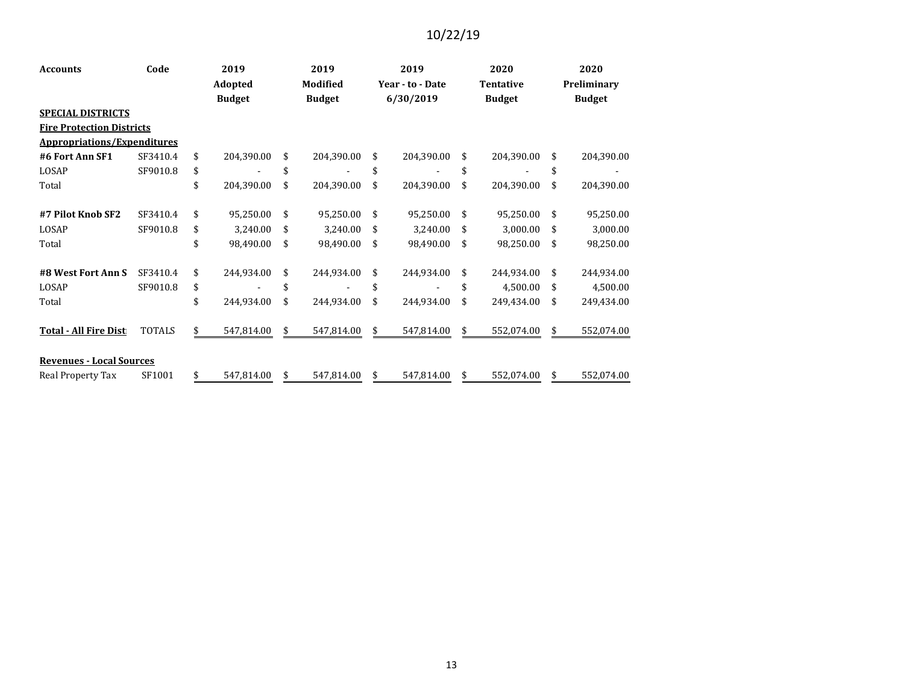| <b>Accounts</b>                    | Code          | 2019<br>Adopted<br><b>Budget</b> |            | 2019<br><b>Modified</b><br><b>Budget</b> |            | 2019<br>Year - to - Date<br>6/30/2019 |            |    | 2020             | 2020          |            |  |
|------------------------------------|---------------|----------------------------------|------------|------------------------------------------|------------|---------------------------------------|------------|----|------------------|---------------|------------|--|
|                                    |               |                                  |            |                                          |            |                                       |            |    | <b>Tentative</b> | Preliminary   |            |  |
|                                    |               |                                  |            |                                          |            |                                       |            |    | <b>Budget</b>    | <b>Budget</b> |            |  |
| <b>SPECIAL DISTRICTS</b>           |               |                                  |            |                                          |            |                                       |            |    |                  |               |            |  |
| <b>Fire Protection Districts</b>   |               |                                  |            |                                          |            |                                       |            |    |                  |               |            |  |
| <b>Appropriations/Expenditures</b> |               |                                  |            |                                          |            |                                       |            |    |                  |               |            |  |
| #6 Fort Ann SF1                    | SF3410.4      | \$                               | 204,390.00 | \$                                       | 204,390.00 | \$                                    | 204,390.00 | \$ | 204,390.00       | \$            | 204,390.00 |  |
| LOSAP                              | SF9010.8      | \$                               |            | \$                                       |            | \$                                    |            | \$ |                  | \$            |            |  |
| Total                              |               | \$                               | 204,390.00 | \$                                       | 204,390.00 | \$                                    | 204,390.00 | \$ | 204,390.00       | \$            | 204,390.00 |  |
| #7 Pilot Knob SF2                  | SF3410.4      | \$                               | 95,250.00  | \$                                       | 95,250.00  | \$                                    | 95,250.00  | \$ | 95,250.00        | \$            | 95,250.00  |  |
| LOSAP                              | SF9010.8      | \$                               | 3,240.00   | \$                                       | 3,240.00   | \$                                    | 3,240.00   | \$ | 3,000.00         | \$            | 3,000.00   |  |
| Total                              |               | \$                               | 98,490.00  | \$                                       | 98,490.00  | \$                                    | 98,490.00  | \$ | 98,250.00        | \$            | 98,250.00  |  |
| #8 West Fort Ann S                 | SF3410.4      | \$                               | 244,934.00 | \$                                       | 244,934.00 | \$                                    | 244,934.00 | \$ | 244,934.00       | \$            | 244,934.00 |  |
| LOSAP                              | SF9010.8      | \$                               |            | \$                                       |            | \$                                    |            | \$ | 4,500.00         | \$            | 4,500.00   |  |
| Total                              |               | \$                               | 244,934.00 | \$                                       | 244,934.00 | \$                                    | 244,934.00 | \$ | 249,434.00       | \$            | 249,434.00 |  |
| <b>Total - All Fire Dist</b>       | <b>TOTALS</b> | \$                               | 547,814.00 | \$                                       | 547,814.00 | \$                                    | 547,814.00 | \$ | 552,074.00       | \$.           | 552,074.00 |  |
| <b>Revenues - Local Sources</b>    |               |                                  |            |                                          |            |                                       |            |    |                  |               |            |  |
| Real Property Tax                  | SF1001        | \$                               | 547,814.00 | \$                                       | 547,814.00 | \$                                    | 547,814.00 | \$ | 552,074.00       | \$            | 552,074.00 |  |